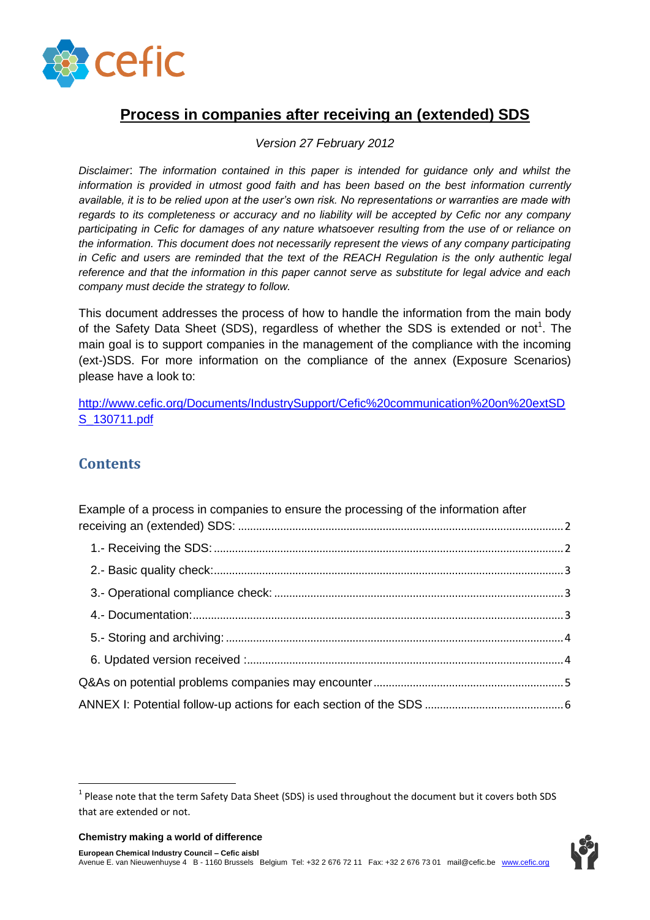

# **Process in companies after receiving an (extended) SDS**

#### *Version 27 February 2012*

*Disclaimer*: *The information contained in this paper is intended for guidance only and whilst the information is provided in utmost good faith and has been based on the best information currently available, it is to be relied upon at the user's own risk. No representations or warranties are made with regards to its completeness or accuracy and no liability will be accepted by Cefic nor any company participating in Cefic for damages of any nature whatsoever resulting from the use of or reliance on the information. This document does not necessarily represent the views of any company participating in Cefic and users are reminded that the text of the REACH Regulation is the only authentic legal reference and that the information in this paper cannot serve as substitute for legal advice and each company must decide the strategy to follow.*

This document addresses the process of how to handle the information from the main body of the Safety Data Sheet (SDS), regardless of whether the SDS is extended or not<sup>1</sup>. The main goal is to support companies in the management of the compliance with the incoming (ext-)SDS. For more information on the compliance of the annex (Exposure Scenarios) please have a look to:

[http://www.cefic.org/Documents/IndustrySupport/Cefic%20communication%20on%20extSD](http://www.cefic.org/Documents/IndustrySupport/Cefic%20communication%20on%20extSDS_130711.pdf) [S\\_130711.pdf](http://www.cefic.org/Documents/IndustrySupport/Cefic%20communication%20on%20extSDS_130711.pdf)

# **Contents**

**.** 

| Example of a process in companies to ensure the processing of the information after |  |
|-------------------------------------------------------------------------------------|--|
|                                                                                     |  |
|                                                                                     |  |
|                                                                                     |  |
|                                                                                     |  |
|                                                                                     |  |
|                                                                                     |  |
|                                                                                     |  |
|                                                                                     |  |
|                                                                                     |  |

 $<sup>1</sup>$  Please note that the term Safety Data Sheet (SDS) is used throughout the document but it covers both SDS</sup> that are extended or not.



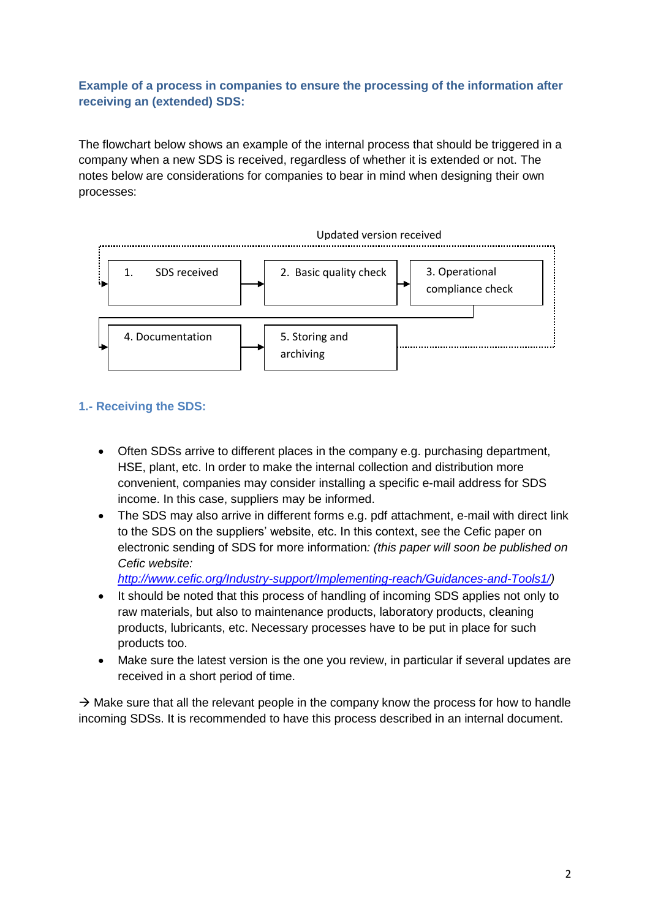## <span id="page-1-0"></span>**Example of a process in companies to ensure the processing of the information after receiving an (extended) SDS:**

The flowchart below shows an example of the internal process that should be triggered in a company when a new SDS is received, regardless of whether it is extended or not. The notes below are considerations for companies to bear in mind when designing their own processes:



## <span id="page-1-1"></span>**1.- Receiving the SDS:**

- Often SDSs arrive to different places in the company e.g. purchasing department, HSE, plant, etc. In order to make the internal collection and distribution more convenient, companies may consider installing a specific e-mail address for SDS income. In this case, suppliers may be informed.
- The SDS may also arrive in different forms e.g. pdf attachment, e-mail with direct link to the SDS on the suppliers' website, etc. In this context, see the Cefic paper on electronic sending of SDS for more information*: (this paper will soon be published on Cefic website:*

*[http://www.cefic.org/Industry-support/Implementing-reach/Guidances-and-Tools1/\)](http://www.cefic.org/Industry-support/Implementing-reach/Guidances-and-Tools1/)*

- It should be noted that this process of handling of incoming SDS applies not only to raw materials, but also to maintenance products, laboratory products, cleaning products, lubricants, etc. Necessary processes have to be put in place for such products too.
- Make sure the latest version is the one you review, in particular if several updates are received in a short period of time.

 $\rightarrow$  Make sure that all the relevant people in the company know the process for how to handle incoming SDSs. It is recommended to have this process described in an internal document.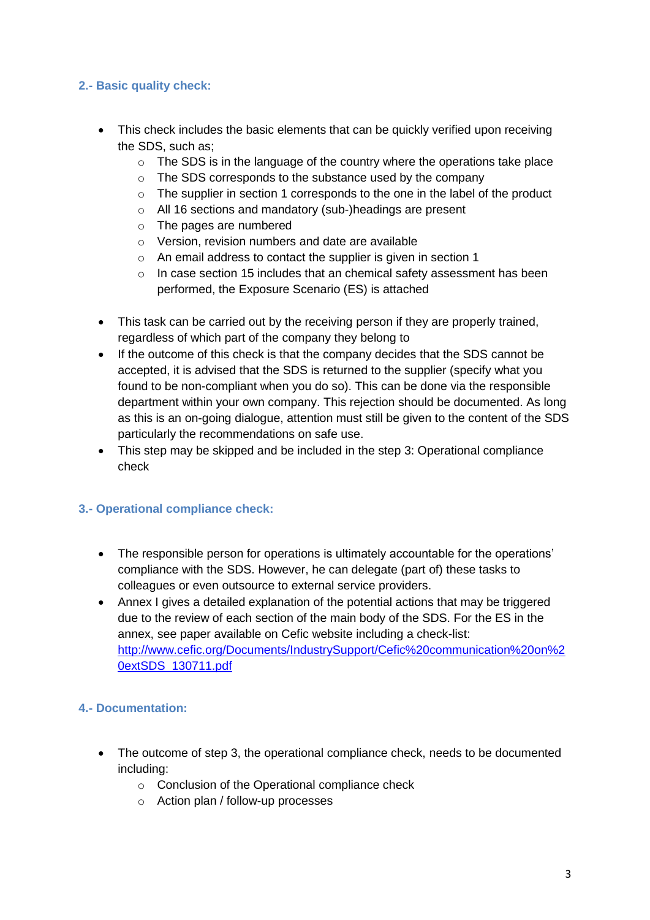## <span id="page-2-0"></span>**2.- Basic quality check:**

- This check includes the basic elements that can be quickly verified upon receiving the SDS, such as;
	- $\circ$  The SDS is in the language of the country where the operations take place
	- o The SDS corresponds to the substance used by the company
	- o The supplier in section 1 corresponds to the one in the label of the product
	- o All 16 sections and mandatory (sub-)headings are present
	- o The pages are numbered
	- o Version, revision numbers and date are available
	- o An email address to contact the supplier is given in section 1
	- $\circ$  In case section 15 includes that an chemical safety assessment has been performed, the Exposure Scenario (ES) is attached
- This task can be carried out by the receiving person if they are properly trained, regardless of which part of the company they belong to
- If the outcome of this check is that the company decides that the SDS cannot be accepted, it is advised that the SDS is returned to the supplier (specify what you found to be non-compliant when you do so). This can be done via the responsible department within your own company. This rejection should be documented. As long as this is an on-going dialogue, attention must still be given to the content of the SDS particularly the recommendations on safe use.
- This step may be skipped and be included in the step 3: Operational compliance check

## <span id="page-2-1"></span>**3.- Operational compliance check:**

- The responsible person for operations is ultimately accountable for the operations' compliance with the SDS. However, he can delegate (part of) these tasks to colleagues or even outsource to external service providers.
- Annex I gives a detailed explanation of the potential actions that may be triggered due to the review of each section of the main body of the SDS. For the ES in the annex, see paper available on Cefic website including a check-list: [http://www.cefic.org/Documents/IndustrySupport/Cefic%20communication%20on%2](http://www.cefic.org/Documents/IndustrySupport/Cefic%20communication%20on%20extSDS_130711.pdf) [0extSDS\\_130711.pdf](http://www.cefic.org/Documents/IndustrySupport/Cefic%20communication%20on%20extSDS_130711.pdf)

## <span id="page-2-2"></span>**4.- Documentation:**

- The outcome of step 3, the operational compliance check, needs to be documented including:
	- o Conclusion of the Operational compliance check
	- o Action plan / follow-up processes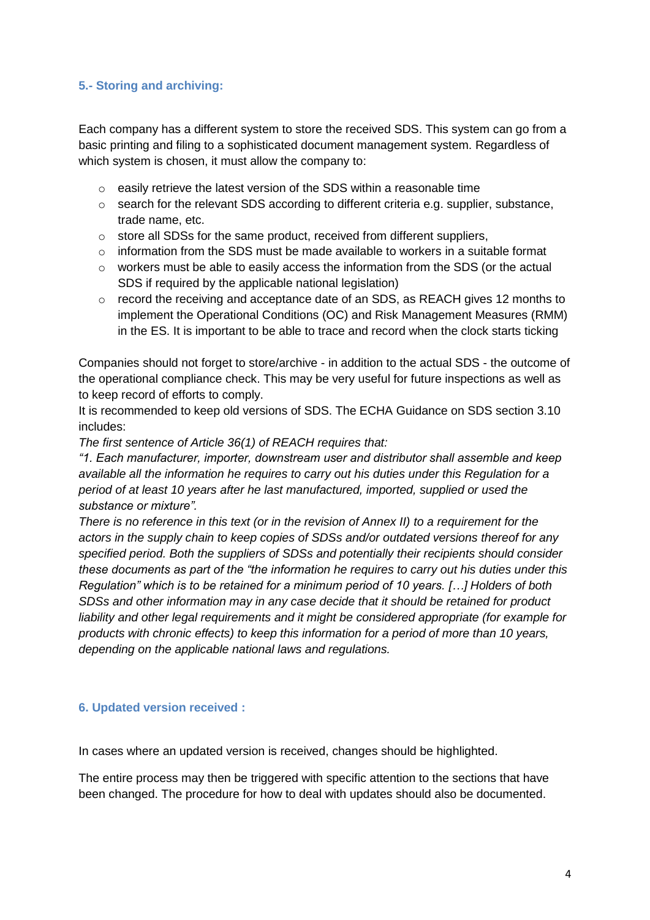#### <span id="page-3-0"></span>**5.- Storing and archiving:**

Each company has a different system to store the received SDS. This system can go from a basic printing and filing to a sophisticated document management system. Regardless of which system is chosen, it must allow the company to:

- o easily retrieve the latest version of the SDS within a reasonable time
- o search for the relevant SDS according to different criteria e.g. supplier, substance, trade name, etc.
- $\circ$  store all SDSs for the same product, received from different suppliers,
- o information from the SDS must be made available to workers in a suitable format
- o workers must be able to easily access the information from the SDS (or the actual SDS if required by the applicable national legislation)
- o record the receiving and acceptance date of an SDS, as REACH gives 12 months to implement the Operational Conditions (OC) and Risk Management Measures (RMM) in the ES. It is important to be able to trace and record when the clock starts ticking

Companies should not forget to store/archive - in addition to the actual SDS - the outcome of the operational compliance check. This may be very useful for future inspections as well as to keep record of efforts to comply.

It is recommended to keep old versions of SDS. The ECHA Guidance on SDS section 3.10 includes:

*The first sentence of Article 36(1) of REACH requires that:*

*"1. Each manufacturer, importer, downstream user and distributor shall assemble and keep available all the information he requires to carry out his duties under this Regulation for a period of at least 10 years after he last manufactured, imported, supplied or used the substance or mixture".*

*There is no reference in this text (or in the revision of Annex II) to a requirement for the actors in the supply chain to keep copies of SDSs and/or outdated versions thereof for any specified period. Both the suppliers of SDSs and potentially their recipients should consider these documents as part of the "the information he requires to carry out his duties under this Regulation" which is to be retained for a minimum period of 10 years. […] Holders of both SDSs and other information may in any case decide that it should be retained for product liability and other legal requirements and it might be considered appropriate (for example for products with chronic effects) to keep this information for a period of more than 10 years, depending on the applicable national laws and regulations.*

#### <span id="page-3-1"></span>**6. Updated version received :**

In cases where an updated version is received, changes should be highlighted.

The entire process may then be triggered with specific attention to the sections that have been changed. The procedure for how to deal with updates should also be documented.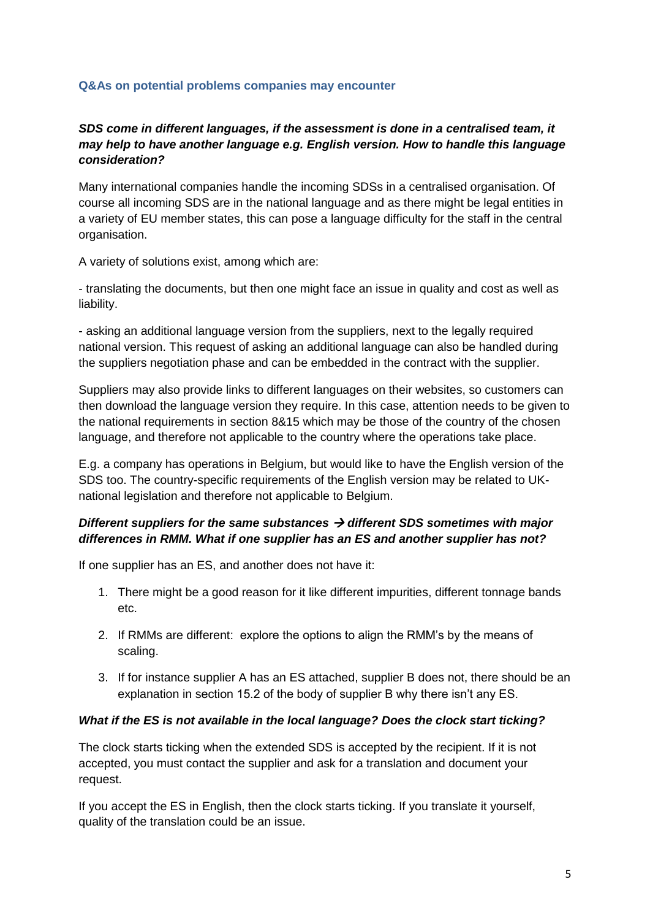#### <span id="page-4-0"></span>**Q&As on potential problems companies may encounter**

## *SDS come in different languages, if the assessment is done in a centralised team, it may help to have another language e.g. English version. How to handle this language consideration?*

Many international companies handle the incoming SDSs in a centralised organisation. Of course all incoming SDS are in the national language and as there might be legal entities in a variety of EU member states, this can pose a language difficulty for the staff in the central organisation.

A variety of solutions exist, among which are:

- translating the documents, but then one might face an issue in quality and cost as well as liability.

- asking an additional language version from the suppliers, next to the legally required national version. This request of asking an additional language can also be handled during the suppliers negotiation phase and can be embedded in the contract with the supplier.

Suppliers may also provide links to different languages on their websites, so customers can then download the language version they require. In this case, attention needs to be given to the national requirements in section 8&15 which may be those of the country of the chosen language, and therefore not applicable to the country where the operations take place.

E.g. a company has operations in Belgium, but would like to have the English version of the SDS too. The country-specific requirements of the English version may be related to UKnational legislation and therefore not applicable to Belgium.

## *Different suppliers for the same substances different SDS sometimes with major differences in RMM. What if one supplier has an ES and another supplier has not?*

If one supplier has an ES, and another does not have it:

- 1. There might be a good reason for it like different impurities, different tonnage bands etc.
- 2. If RMMs are different: explore the options to align the RMM's by the means of scaling.
- 3. If for instance supplier A has an ES attached, supplier B does not, there should be an explanation in section 15.2 of the body of supplier B why there isn't any ES.

## *What if the ES is not available in the local language? Does the clock start ticking?*

The clock starts ticking when the extended SDS is accepted by the recipient. If it is not accepted, you must contact the supplier and ask for a translation and document your request.

If you accept the ES in English, then the clock starts ticking. If you translate it yourself, quality of the translation could be an issue.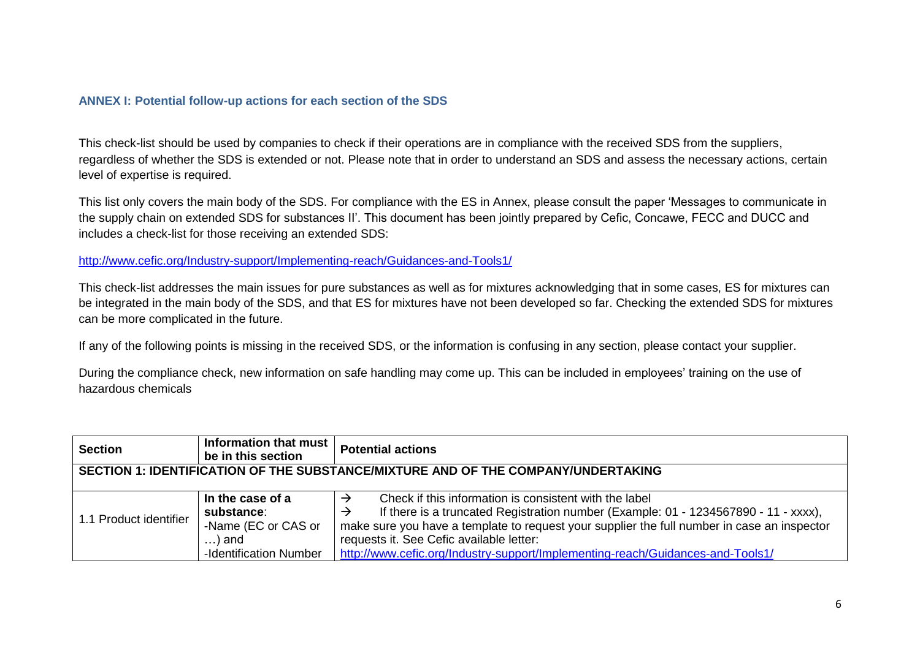#### **ANNEX I: Potential follow-up actions for each section of the SDS**

This check-list should be used by companies to check if their operations are in compliance with the received SDS from the suppliers, regardless of whether the SDS is extended or not. Please note that in order to understand an SDS and assess the necessary actions, certain level of expertise is required.

This list only covers the main body of the SDS. For compliance with the ES in Annex, please consult the paper 'Messages to communicate in the supply chain on extended SDS for substances II'. This document has been jointly prepared by Cefic, Concawe, FECC and DUCC and includes a check-list for those receiving an extended SDS:

#### <http://www.cefic.org/Industry-support/Implementing-reach/Guidances-and-Tools1/>

This check-list addresses the main issues for pure substances as well as for mixtures acknowledging that in some cases, ES for mixtures can be integrated in the main body of the SDS, and that ES for mixtures have not been developed so far. Checking the extended SDS for mixtures can be more complicated in the future.

<span id="page-5-0"></span>If any of the following points is missing in the received SDS, or the information is confusing in any section, please contact your supplier.

During the compliance check, new information on safe handling may come up. This can be included in employees' training on the use of hazardous chemicals

| <b>Section</b>                                                                    | Information that must<br>be in this section | <b>Potential actions</b>                                                                    |
|-----------------------------------------------------------------------------------|---------------------------------------------|---------------------------------------------------------------------------------------------|
| SECTION 1: IDENTIFICATION OF THE SUBSTANCE/MIXTURE AND OF THE COMPANY/UNDERTAKING |                                             |                                                                                             |
|                                                                                   |                                             |                                                                                             |
|                                                                                   | In the case of a                            | Check if this information is consistent with the label                                      |
| 1.1 Product identifier                                                            | substance:                                  | If there is a truncated Registration number (Example: 01 - 1234567890 - 11 - xxxx),         |
|                                                                                   | -Name (EC or CAS or                         | make sure you have a template to request your supplier the full number in case an inspector |
|                                                                                   | $\ldots$ ) and                              | requests it. See Cefic available letter:                                                    |
|                                                                                   | -Identification Number                      | http://www.cefic.org/Industry-support/Implementing-reach/Guidances-and-Tools1/              |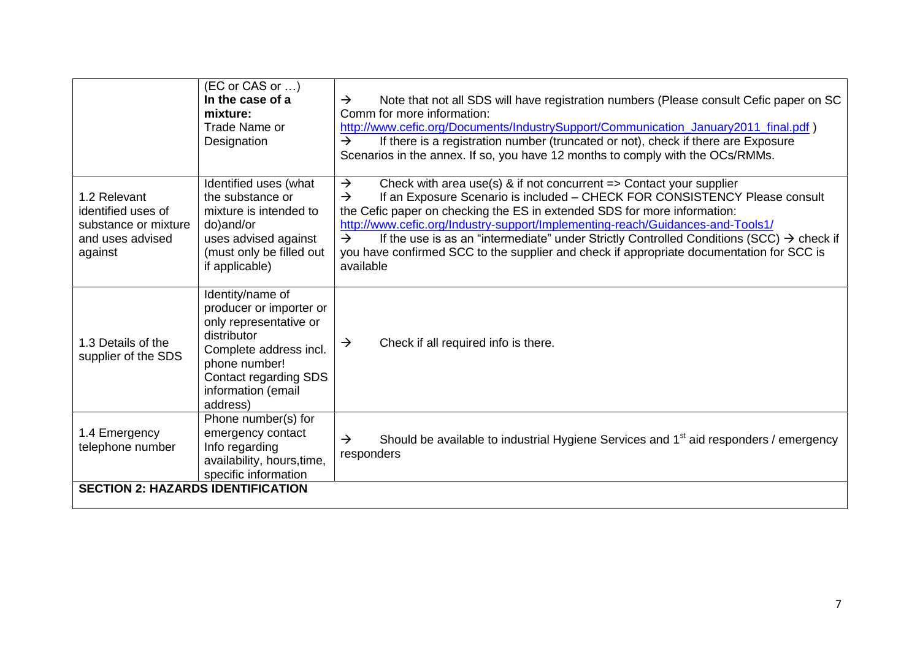|                                                                                           | (EC or CAS or )<br>In the case of a<br>mixture:<br>Trade Name or<br>Designation                                                                                                            | $\rightarrow$<br>Note that not all SDS will have registration numbers (Please consult Cefic paper on SC<br>Comm for more information:<br>http://www.cefic.org/Documents/IndustrySupport/Communication_January2011_final.pdf)<br>If there is a registration number (truncated or not), check if there are Exposure<br>$\rightarrow$<br>Scenarios in the annex. If so, you have 12 months to comply with the OCs/RMMs.                                                                                                                                                                           |
|-------------------------------------------------------------------------------------------|--------------------------------------------------------------------------------------------------------------------------------------------------------------------------------------------|------------------------------------------------------------------------------------------------------------------------------------------------------------------------------------------------------------------------------------------------------------------------------------------------------------------------------------------------------------------------------------------------------------------------------------------------------------------------------------------------------------------------------------------------------------------------------------------------|
| 1.2 Relevant<br>identified uses of<br>substance or mixture<br>and uses advised<br>against | Identified uses (what<br>the substance or<br>mixture is intended to<br>do)and/or<br>uses advised against<br>(must only be filled out<br>if applicable)                                     | $\rightarrow$<br>Check with area use(s) & if not concurrent $\Rightarrow$ Contact your supplier<br>If an Exposure Scenario is included - CHECK FOR CONSISTENCY Please consult<br>$\rightarrow$<br>the Cefic paper on checking the ES in extended SDS for more information:<br>http://www.cefic.org/Industry-support/Implementing-reach/Guidances-and-Tools1/<br>If the use is as an "intermediate" under Strictly Controlled Conditions (SCC) $\rightarrow$ check if<br>$\rightarrow$<br>you have confirmed SCC to the supplier and check if appropriate documentation for SCC is<br>available |
| 1.3 Details of the<br>supplier of the SDS                                                 | Identity/name of<br>producer or importer or<br>only representative or<br>distributor<br>Complete address incl.<br>phone number!<br>Contact regarding SDS<br>information (email<br>address) | Check if all required info is there.<br>$\rightarrow$                                                                                                                                                                                                                                                                                                                                                                                                                                                                                                                                          |
| 1.4 Emergency<br>telephone number                                                         | Phone number(s) for<br>emergency contact<br>Info regarding<br>availability, hours, time,<br>specific information                                                                           | Should be available to industrial Hygiene Services and 1 <sup>st</sup> aid responders / emergency<br>$\rightarrow$<br>responders                                                                                                                                                                                                                                                                                                                                                                                                                                                               |
| <b>SECTION 2: HAZARDS IDENTIFICATION</b>                                                  |                                                                                                                                                                                            |                                                                                                                                                                                                                                                                                                                                                                                                                                                                                                                                                                                                |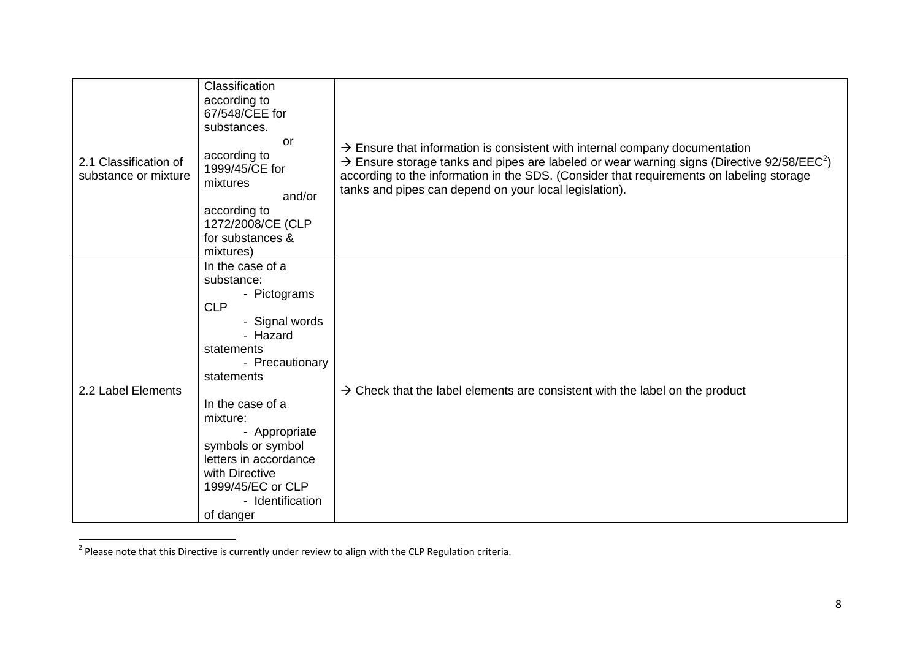| 2.1 Classification of<br>substance or mixture | Classification<br>according to<br>67/548/CEE for<br>substances.<br>or<br>according to<br>1999/45/CE for<br>mixtures<br>and/or<br>according to<br>1272/2008/CE (CLP<br>for substances &<br>mixtures)                                                                                                              | $\rightarrow$ Ensure that information is consistent with internal company documentation<br>$\rightarrow$ Ensure storage tanks and pipes are labeled or wear warning signs (Directive 92/58/EEC <sup>2</sup> )<br>according to the information in the SDS. (Consider that requirements on labeling storage<br>tanks and pipes can depend on your local legislation). |
|-----------------------------------------------|------------------------------------------------------------------------------------------------------------------------------------------------------------------------------------------------------------------------------------------------------------------------------------------------------------------|---------------------------------------------------------------------------------------------------------------------------------------------------------------------------------------------------------------------------------------------------------------------------------------------------------------------------------------------------------------------|
| 2.2 Label Elements                            | In the case of a<br>substance:<br>- Pictograms<br><b>CLP</b><br>- Signal words<br>- Hazard<br>statements<br>- Precautionary<br>statements<br>In the case of a<br>mixture:<br>- Appropriate<br>symbols or symbol<br>letters in accordance<br>with Directive<br>1999/45/EC or CLP<br>- Identification<br>of danger | $\rightarrow$ Check that the label elements are consistent with the label on the product                                                                                                                                                                                                                                                                            |

 2 Please note that this Directive is currently under review to align with the CLP Regulation criteria.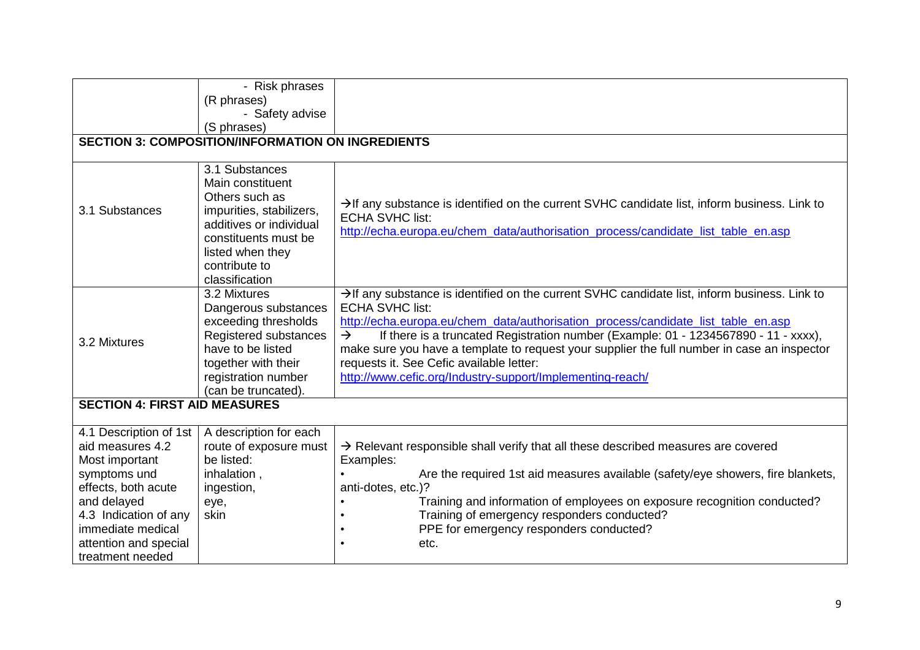|                                                                                                                                                                                                               | - Risk phrases                                                                                                                                                                             |                                                                                                                                                                                                                                                                                                                                                                                                                                                                                                                                          |
|---------------------------------------------------------------------------------------------------------------------------------------------------------------------------------------------------------------|--------------------------------------------------------------------------------------------------------------------------------------------------------------------------------------------|------------------------------------------------------------------------------------------------------------------------------------------------------------------------------------------------------------------------------------------------------------------------------------------------------------------------------------------------------------------------------------------------------------------------------------------------------------------------------------------------------------------------------------------|
|                                                                                                                                                                                                               | (R phrases)                                                                                                                                                                                |                                                                                                                                                                                                                                                                                                                                                                                                                                                                                                                                          |
|                                                                                                                                                                                                               | - Safety advise                                                                                                                                                                            |                                                                                                                                                                                                                                                                                                                                                                                                                                                                                                                                          |
|                                                                                                                                                                                                               | (S phrases)                                                                                                                                                                                |                                                                                                                                                                                                                                                                                                                                                                                                                                                                                                                                          |
|                                                                                                                                                                                                               | <b>SECTION 3: COMPOSITION/INFORMATION ON INGREDIENTS</b>                                                                                                                                   |                                                                                                                                                                                                                                                                                                                                                                                                                                                                                                                                          |
|                                                                                                                                                                                                               |                                                                                                                                                                                            |                                                                                                                                                                                                                                                                                                                                                                                                                                                                                                                                          |
| 3.1 Substances                                                                                                                                                                                                | 3.1 Substances<br>Main constituent<br>Others such as<br>impurities, stabilizers,<br>additives or individual<br>constituents must be<br>listed when they<br>contribute to<br>classification | $\rightarrow$ If any substance is identified on the current SVHC candidate list, inform business. Link to<br><b>ECHA SVHC list:</b><br>http://echa.europa.eu/chem_data/authorisation_process/candidate_list_table_en.asp                                                                                                                                                                                                                                                                                                                 |
| 3.2 Mixtures                                                                                                                                                                                                  | 3.2 Mixtures<br>Dangerous substances<br>exceeding thresholds<br>Registered substances<br>have to be listed<br>together with their<br>registration number<br>(can be truncated).            | $\rightarrow$ If any substance is identified on the current SVHC candidate list, inform business. Link to<br><b>ECHA SVHC list:</b><br>http://echa.europa.eu/chem_data/authorisation_process/candidate_list_table_en.asp<br>If there is a truncated Registration number (Example: 01 - 1234567890 - 11 - xxxx),<br>$\rightarrow$<br>make sure you have a template to request your supplier the full number in case an inspector<br>requests it. See Cefic available letter:<br>http://www.cefic.org/Industry-support/Implementing-reach/ |
| <b>SECTION 4: FIRST AID MEASURES</b>                                                                                                                                                                          |                                                                                                                                                                                            |                                                                                                                                                                                                                                                                                                                                                                                                                                                                                                                                          |
| 4.1 Description of 1st<br>aid measures 4.2<br>Most important<br>symptoms und<br>effects, both acute<br>and delayed<br>4.3 Indication of any<br>immediate medical<br>attention and special<br>treatment needed | A description for each<br>route of exposure must<br>be listed:<br>inhalation,<br>ingestion,<br>eye,<br>skin                                                                                | $\rightarrow$ Relevant responsible shall verify that all these described measures are covered<br>Examples:<br>Are the required 1st aid measures available (safety/eye showers, fire blankets,<br>anti-dotes, etc.)?<br>Training and information of employees on exposure recognition conducted?<br>Training of emergency responders conducted?<br>PPE for emergency responders conducted?<br>etc.                                                                                                                                        |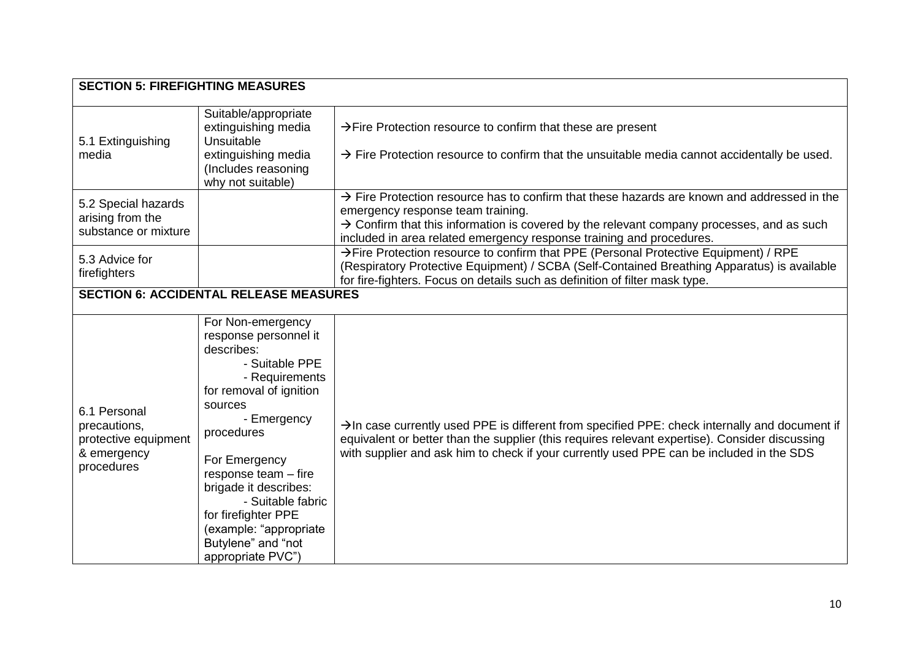| <b>SECTION 5: FIREFIGHTING MEASURES</b>                                           |                                                                                                                                                                                                                                                                                                                                                    |                                                                                                                                                                                                                                                                                                                               |  |
|-----------------------------------------------------------------------------------|----------------------------------------------------------------------------------------------------------------------------------------------------------------------------------------------------------------------------------------------------------------------------------------------------------------------------------------------------|-------------------------------------------------------------------------------------------------------------------------------------------------------------------------------------------------------------------------------------------------------------------------------------------------------------------------------|--|
| 5.1 Extinguishing<br>media                                                        | Suitable/appropriate<br>extinguishing media<br>Unsuitable<br>extinguishing media<br>(Includes reasoning<br>why not suitable)                                                                                                                                                                                                                       | $\rightarrow$ Fire Protection resource to confirm that these are present<br>$\rightarrow$ Fire Protection resource to confirm that the unsuitable media cannot accidentally be used.                                                                                                                                          |  |
| 5.2 Special hazards<br>arising from the<br>substance or mixture                   |                                                                                                                                                                                                                                                                                                                                                    | $\rightarrow$ Fire Protection resource has to confirm that these hazards are known and addressed in the<br>emergency response team training.<br>$\rightarrow$ Confirm that this information is covered by the relevant company processes, and as such<br>included in area related emergency response training and procedures. |  |
| 5.3 Advice for<br>firefighters                                                    |                                                                                                                                                                                                                                                                                                                                                    | >Fire Protection resource to confirm that PPE (Personal Protective Equipment) / RPE<br>(Respiratory Protective Equipment) / SCBA (Self-Contained Breathing Apparatus) is available<br>for fire-fighters. Focus on details such as definition of filter mask type.                                                             |  |
|                                                                                   | <b>SECTION 6: ACCIDENTAL RELEASE MEASURES</b>                                                                                                                                                                                                                                                                                                      |                                                                                                                                                                                                                                                                                                                               |  |
| 6.1 Personal<br>precautions,<br>protective equipment<br>& emergency<br>procedures | For Non-emergency<br>response personnel it<br>describes:<br>- Suitable PPE<br>- Requirements<br>for removal of ignition<br>sources<br>- Emergency<br>procedures<br>For Emergency<br>response team - fire<br>brigade it describes:<br>- Suitable fabric<br>for firefighter PPE<br>(example: "appropriate<br>Butylene" and "not<br>appropriate PVC") | $\rightarrow$ In case currently used PPE is different from specified PPE: check internally and document if<br>equivalent or better than the supplier (this requires relevant expertise). Consider discussing<br>with supplier and ask him to check if your currently used PPE can be included in the SDS                      |  |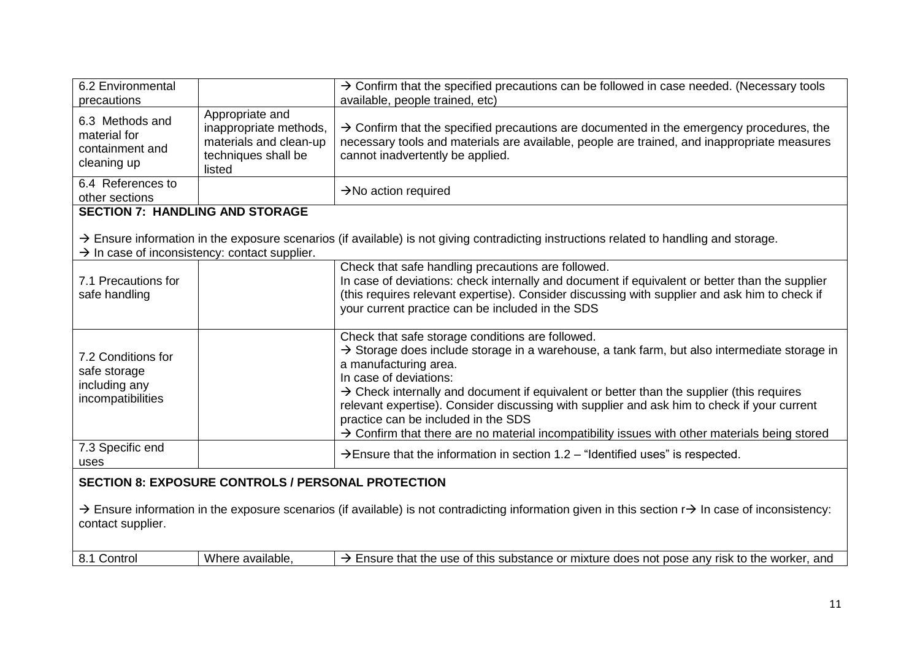| 6.2 Environmental<br>precautions                                                                                                                                                                                                                             |                                                                                                      | $\rightarrow$ Confirm that the specified precautions can be followed in case needed. (Necessary tools<br>available, people trained, etc)                                                                                                                                                                                                                                                                                                                                                                                                                                   |
|--------------------------------------------------------------------------------------------------------------------------------------------------------------------------------------------------------------------------------------------------------------|------------------------------------------------------------------------------------------------------|----------------------------------------------------------------------------------------------------------------------------------------------------------------------------------------------------------------------------------------------------------------------------------------------------------------------------------------------------------------------------------------------------------------------------------------------------------------------------------------------------------------------------------------------------------------------------|
| 6.3 Methods and<br>material for<br>containment and<br>cleaning up                                                                                                                                                                                            | Appropriate and<br>inappropriate methods,<br>materials and clean-up<br>techniques shall be<br>listed | $\rightarrow$ Confirm that the specified precautions are documented in the emergency procedures, the<br>necessary tools and materials are available, people are trained, and inappropriate measures<br>cannot inadvertently be applied.                                                                                                                                                                                                                                                                                                                                    |
| 6.4 References to<br>other sections                                                                                                                                                                                                                          |                                                                                                      | $\rightarrow$ No action required                                                                                                                                                                                                                                                                                                                                                                                                                                                                                                                                           |
| <b>SECTION 7: HANDLING AND STORAGE</b>                                                                                                                                                                                                                       |                                                                                                      |                                                                                                                                                                                                                                                                                                                                                                                                                                                                                                                                                                            |
| $\rightarrow$ In case of inconsistency: contact supplier.                                                                                                                                                                                                    |                                                                                                      | $\rightarrow$ Ensure information in the exposure scenarios (if available) is not giving contradicting instructions related to handling and storage.                                                                                                                                                                                                                                                                                                                                                                                                                        |
| 7.1 Precautions for<br>safe handling                                                                                                                                                                                                                         |                                                                                                      | Check that safe handling precautions are followed.<br>In case of deviations: check internally and document if equivalent or better than the supplier<br>(this requires relevant expertise). Consider discussing with supplier and ask him to check if<br>your current practice can be included in the SDS                                                                                                                                                                                                                                                                  |
| 7.2 Conditions for<br>safe storage<br>including any<br>incompatibilities                                                                                                                                                                                     |                                                                                                      | Check that safe storage conditions are followed.<br>$\rightarrow$ Storage does include storage in a warehouse, a tank farm, but also intermediate storage in<br>a manufacturing area.<br>In case of deviations:<br>$\rightarrow$ Check internally and document if equivalent or better than the supplier (this requires<br>relevant expertise). Consider discussing with supplier and ask him to check if your current<br>practice can be included in the SDS<br>$\rightarrow$ Confirm that there are no material incompatibility issues with other materials being stored |
| 7.3 Specific end<br>uses                                                                                                                                                                                                                                     |                                                                                                      | $\rightarrow$ Ensure that the information in section 1.2 – "Identified uses" is respected.                                                                                                                                                                                                                                                                                                                                                                                                                                                                                 |
| <b>SECTION 8: EXPOSURE CONTROLS / PERSONAL PROTECTION</b><br>$\rightarrow$ Ensure information in the exposure scenarios (if available) is not contradicting information given in this section r $\rightarrow$ In case of inconsistency:<br>contact supplier. |                                                                                                      |                                                                                                                                                                                                                                                                                                                                                                                                                                                                                                                                                                            |
| 8.1 Control                                                                                                                                                                                                                                                  | Where available,                                                                                     | $\rightarrow$ Ensure that the use of this substance or mixture does not pose any risk to the worker, and                                                                                                                                                                                                                                                                                                                                                                                                                                                                   |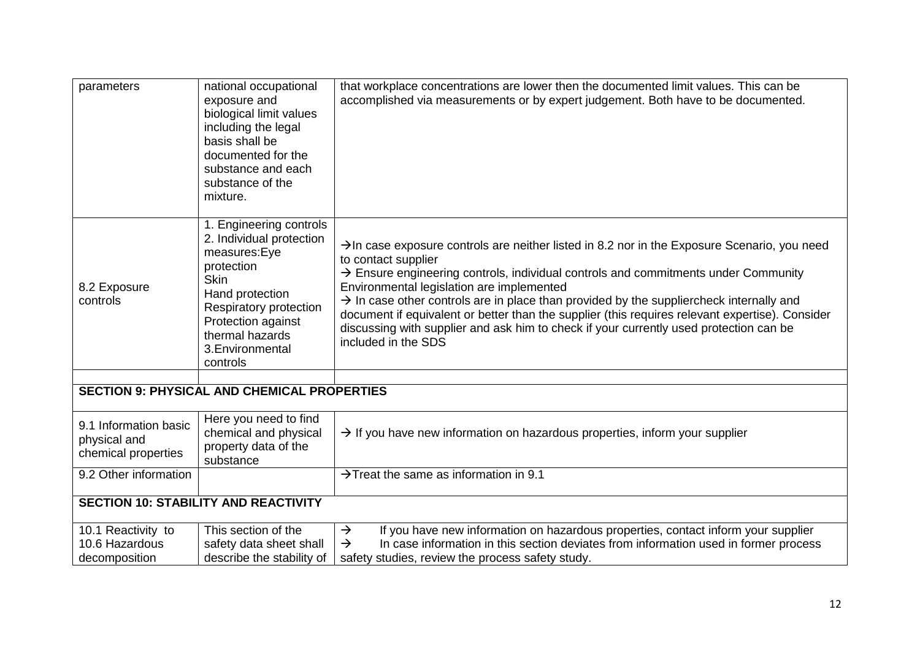| parameters                                                   | national occupational<br>exposure and<br>biological limit values<br>including the legal<br>basis shall be<br>documented for the<br>substance and each<br>substance of the<br>mixture.                                  | that workplace concentrations are lower then the documented limit values. This can be<br>accomplished via measurements or by expert judgement. Both have to be documented.                                                                                                                                                                                                                                                                                                                                                                                                                                |
|--------------------------------------------------------------|------------------------------------------------------------------------------------------------------------------------------------------------------------------------------------------------------------------------|-----------------------------------------------------------------------------------------------------------------------------------------------------------------------------------------------------------------------------------------------------------------------------------------------------------------------------------------------------------------------------------------------------------------------------------------------------------------------------------------------------------------------------------------------------------------------------------------------------------|
| 8.2 Exposure<br>controls                                     | 1. Engineering controls<br>2. Individual protection<br>measures:Eye<br>protection<br><b>Skin</b><br>Hand protection<br>Respiratory protection<br>Protection against<br>thermal hazards<br>3. Environmental<br>controls | $\rightarrow$ In case exposure controls are neither listed in 8.2 nor in the Exposure Scenario, you need<br>to contact supplier<br>$\rightarrow$ Ensure engineering controls, individual controls and commitments under Community<br>Environmental legislation are implemented<br>$\rightarrow$ In case other controls are in place than provided by the suppliercheck internally and<br>document if equivalent or better than the supplier (this requires relevant expertise). Consider<br>discussing with supplier and ask him to check if your currently used protection can be<br>included in the SDS |
|                                                              | <b>SECTION 9: PHYSICAL AND CHEMICAL PROPERTIES</b>                                                                                                                                                                     |                                                                                                                                                                                                                                                                                                                                                                                                                                                                                                                                                                                                           |
| 9.1 Information basic<br>physical and<br>chemical properties | Here you need to find<br>chemical and physical<br>property data of the<br>substance                                                                                                                                    | $\rightarrow$ If you have new information on hazardous properties, inform your supplier                                                                                                                                                                                                                                                                                                                                                                                                                                                                                                                   |
| 9.2 Other information                                        |                                                                                                                                                                                                                        | $\rightarrow$ Treat the same as information in 9.1                                                                                                                                                                                                                                                                                                                                                                                                                                                                                                                                                        |
| <b>SECTION 10: STABILITY AND REACTIVITY</b>                  |                                                                                                                                                                                                                        |                                                                                                                                                                                                                                                                                                                                                                                                                                                                                                                                                                                                           |
| 10.1 Reactivity to<br>10.6 Hazardous<br>decomposition        | This section of the<br>safety data sheet shall<br>describe the stability of                                                                                                                                            | If you have new information on hazardous properties, contact inform your supplier<br>$\rightarrow$<br>In case information in this section deviates from information used in former process<br>$\rightarrow$<br>safety studies, review the process safety study.                                                                                                                                                                                                                                                                                                                                           |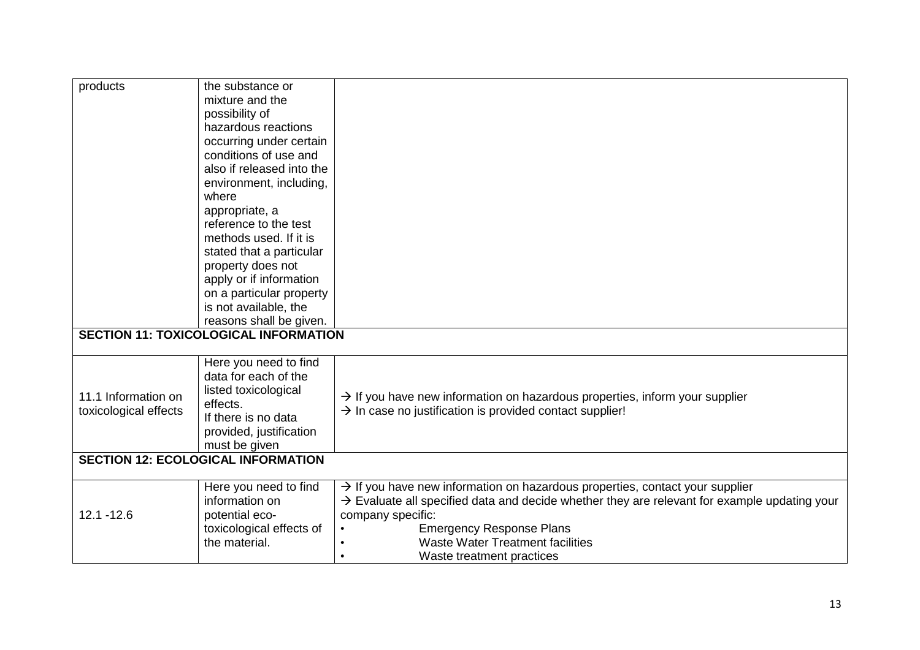| products              | the substance or                             |                                                                                                          |
|-----------------------|----------------------------------------------|----------------------------------------------------------------------------------------------------------|
|                       | mixture and the                              |                                                                                                          |
|                       | possibility of                               |                                                                                                          |
|                       | hazardous reactions                          |                                                                                                          |
|                       | occurring under certain                      |                                                                                                          |
|                       | conditions of use and                        |                                                                                                          |
|                       | also if released into the                    |                                                                                                          |
|                       | environment, including,                      |                                                                                                          |
|                       | where                                        |                                                                                                          |
|                       | appropriate, a                               |                                                                                                          |
|                       | reference to the test                        |                                                                                                          |
|                       | methods used. If it is                       |                                                                                                          |
|                       | stated that a particular                     |                                                                                                          |
|                       | property does not                            |                                                                                                          |
|                       | apply or if information                      |                                                                                                          |
|                       | on a particular property                     |                                                                                                          |
|                       | is not available, the                        |                                                                                                          |
|                       | reasons shall be given.                      |                                                                                                          |
|                       | <b>SECTION 11: TOXICOLOGICAL INFORMATION</b> |                                                                                                          |
|                       |                                              |                                                                                                          |
|                       | Here you need to find                        |                                                                                                          |
|                       | data for each of the                         |                                                                                                          |
| 11.1 Information on   | listed toxicological                         | $\rightarrow$ If you have new information on hazardous properties, inform your supplier                  |
| toxicological effects | effects.                                     | $\rightarrow$ In case no justification is provided contact supplier!                                     |
|                       | If there is no data                          |                                                                                                          |
|                       | provided, justification                      |                                                                                                          |
|                       | must be given                                |                                                                                                          |
|                       | <b>SECTION 12: ECOLOGICAL INFORMATION</b>    |                                                                                                          |
|                       | Here you need to find                        | $\rightarrow$ If you have new information on hazardous properties, contact your supplier                 |
|                       | information on                               | $\rightarrow$ Evaluate all specified data and decide whether they are relevant for example updating your |
| $12.1 - 12.6$         | potential eco-                               | company specific:                                                                                        |
|                       | toxicological effects of                     | <b>Emergency Response Plans</b>                                                                          |
|                       | the material.                                | <b>Waste Water Treatment facilities</b>                                                                  |
|                       |                                              | Waste treatment practices                                                                                |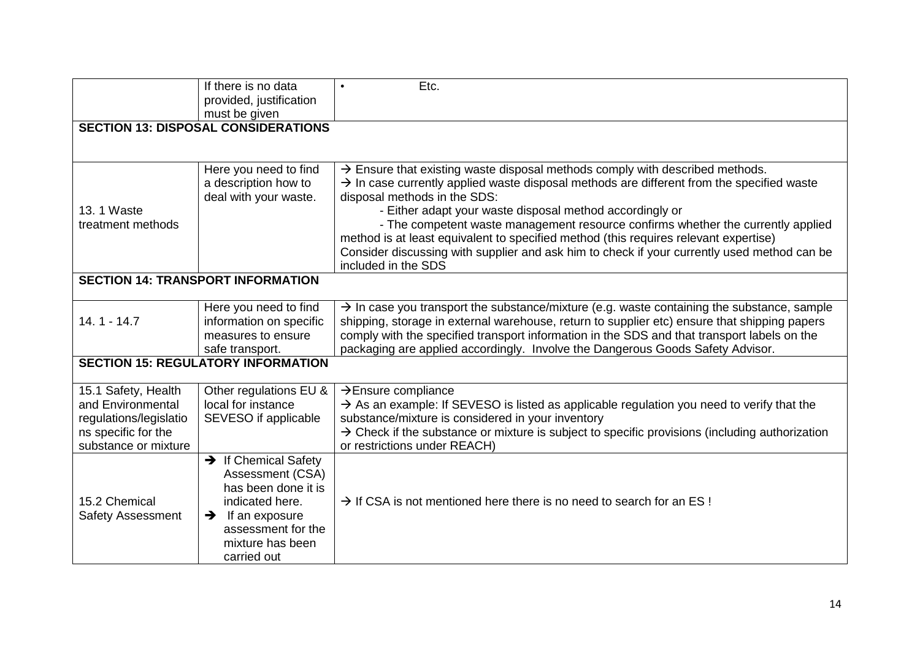|                                                                                                                   | If there is no data<br>provided, justification<br>must be given                                                                                                                            | Etc.                                                                                                                                                                                                                                                                                                                                                                                                                                                                                                                                                                                            |  |
|-------------------------------------------------------------------------------------------------------------------|--------------------------------------------------------------------------------------------------------------------------------------------------------------------------------------------|-------------------------------------------------------------------------------------------------------------------------------------------------------------------------------------------------------------------------------------------------------------------------------------------------------------------------------------------------------------------------------------------------------------------------------------------------------------------------------------------------------------------------------------------------------------------------------------------------|--|
|                                                                                                                   | <b>SECTION 13: DISPOSAL CONSIDERATIONS</b>                                                                                                                                                 |                                                                                                                                                                                                                                                                                                                                                                                                                                                                                                                                                                                                 |  |
|                                                                                                                   |                                                                                                                                                                                            |                                                                                                                                                                                                                                                                                                                                                                                                                                                                                                                                                                                                 |  |
| 13. 1 Waste<br>treatment methods                                                                                  | Here you need to find<br>a description how to<br>deal with your waste.                                                                                                                     | $\rightarrow$ Ensure that existing waste disposal methods comply with described methods.<br>$\rightarrow$ In case currently applied waste disposal methods are different from the specified waste<br>disposal methods in the SDS:<br>- Either adapt your waste disposal method accordingly or<br>- The competent waste management resource confirms whether the currently applied<br>method is at least equivalent to specified method (this requires relevant expertise)<br>Consider discussing with supplier and ask him to check if your currently used method can be<br>included in the SDS |  |
|                                                                                                                   | <b>SECTION 14: TRANSPORT INFORMATION</b>                                                                                                                                                   |                                                                                                                                                                                                                                                                                                                                                                                                                                                                                                                                                                                                 |  |
| $14.1 - 14.7$                                                                                                     | Here you need to find<br>information on specific<br>measures to ensure<br>safe transport.                                                                                                  | $\rightarrow$ In case you transport the substance/mixture (e.g. waste containing the substance, sample<br>shipping, storage in external warehouse, return to supplier etc) ensure that shipping papers<br>comply with the specified transport information in the SDS and that transport labels on the<br>packaging are applied accordingly. Involve the Dangerous Goods Safety Advisor.                                                                                                                                                                                                         |  |
|                                                                                                                   | <b>SECTION 15: REGULATORY INFORMATION</b>                                                                                                                                                  |                                                                                                                                                                                                                                                                                                                                                                                                                                                                                                                                                                                                 |  |
| 15.1 Safety, Health<br>and Environmental<br>regulations/legislatio<br>ns specific for the<br>substance or mixture | Other regulations EU &<br>local for instance<br>SEVESO if applicable                                                                                                                       | $\rightarrow$ Ensure compliance<br>$\rightarrow$ As an example: If SEVESO is listed as applicable regulation you need to verify that the<br>substance/mixture is considered in your inventory<br>$\rightarrow$ Check if the substance or mixture is subject to specific provisions (including authorization<br>or restrictions under REACH)                                                                                                                                                                                                                                                     |  |
| 15.2 Chemical<br><b>Safety Assessment</b>                                                                         | $\rightarrow$ If Chemical Safety<br>Assessment (CSA)<br>has been done it is<br>indicated here.<br>If an exposure<br>$\rightarrow$<br>assessment for the<br>mixture has been<br>carried out | $\rightarrow$ If CSA is not mentioned here there is no need to search for an ES!                                                                                                                                                                                                                                                                                                                                                                                                                                                                                                                |  |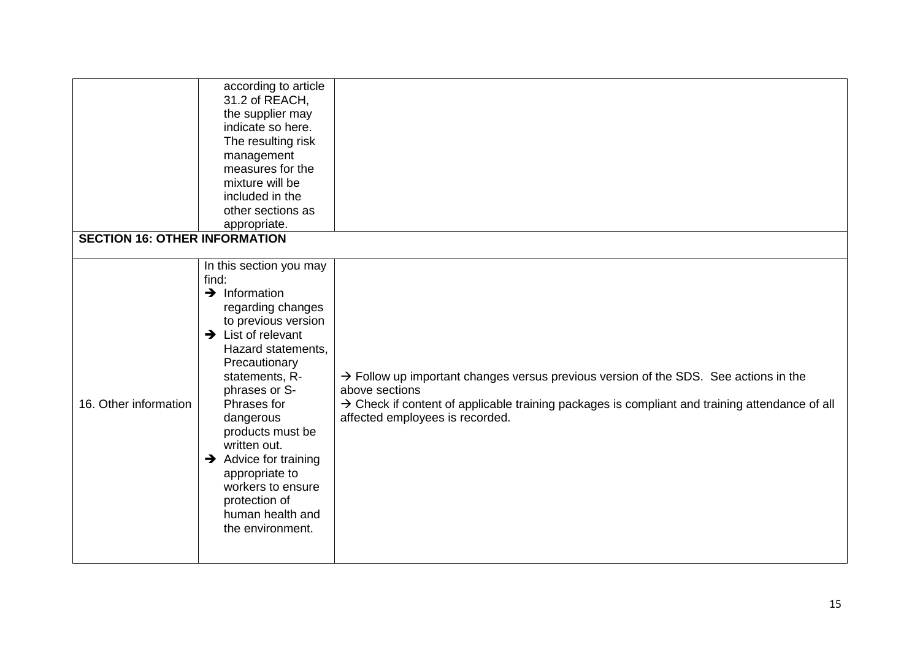| 16. Other information                | In this section you may<br>find:<br>$\rightarrow$ Information<br>regarding changes<br>to previous version<br>$\rightarrow$ List of relevant<br>Hazard statements,<br>Precautionary<br>statements, R-<br>phrases or S-<br>Phrases for<br>dangerous<br>products must be<br>written out.<br>$\rightarrow$ Advice for training<br>appropriate to<br>workers to ensure<br>protection of<br>human health and<br>the environment. | $\rightarrow$ Follow up important changes versus previous version of the SDS. See actions in the<br>above sections<br>$\rightarrow$ Check if content of applicable training packages is compliant and training attendance of all<br>affected employees is recorded. |
|--------------------------------------|----------------------------------------------------------------------------------------------------------------------------------------------------------------------------------------------------------------------------------------------------------------------------------------------------------------------------------------------------------------------------------------------------------------------------|---------------------------------------------------------------------------------------------------------------------------------------------------------------------------------------------------------------------------------------------------------------------|
| <b>SECTION 16: OTHER INFORMATION</b> | according to article<br>31.2 of REACH,<br>the supplier may<br>indicate so here.<br>The resulting risk<br>management<br>measures for the<br>mixture will be<br>included in the<br>other sections as<br>appropriate.                                                                                                                                                                                                         |                                                                                                                                                                                                                                                                     |